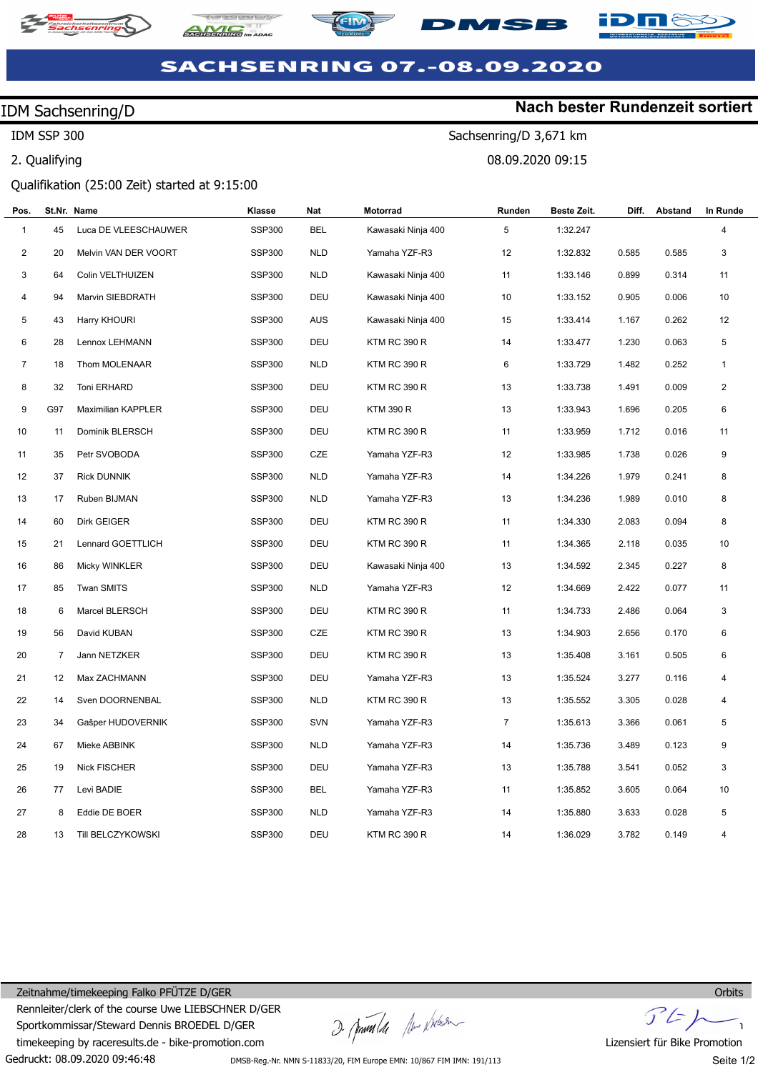







**Nach bester Rundenzeit sortiert**

Sachsenring/D 3,671 km

08.09.2020 09:15

# **SACHSENRING 07.-08.09.2020**

### IDM Sachsenring/D

IDM SSP 300

2. Qualifying

### Qualifikation (25:00 Zeit) started at 9:15:00

| Pos.                    |     | St.Nr. Name          | Klasse        | <b>Nat</b> | Motorrad            | Runden         | Beste Zeit. | Diff. | Abstand | In Runde     |
|-------------------------|-----|----------------------|---------------|------------|---------------------|----------------|-------------|-------|---------|--------------|
| $\mathbf{1}$            | 45  | Luca DE VLEESCHAUWER | <b>SSP300</b> | <b>BEL</b> | Kawasaki Ninja 400  | 5              | 1:32.247    |       |         | 4            |
| $\overline{\mathbf{c}}$ | 20  | Melvin VAN DER VOORT | <b>SSP300</b> | <b>NLD</b> | Yamaha YZF-R3       | 12             | 1:32.832    | 0.585 | 0.585   | 3            |
| 3                       | 64  | Colin VELTHUIZEN     | <b>SSP300</b> | <b>NLD</b> | Kawasaki Ninja 400  | 11             | 1:33.146    | 0.899 | 0.314   | 11           |
| 4                       | 94  | Marvin SIEBDRATH     | <b>SSP300</b> | DEU        | Kawasaki Ninja 400  | 10             | 1:33.152    | 0.905 | 0.006   | 10           |
| 5                       | 43  | Harry KHOURI         | <b>SSP300</b> | <b>AUS</b> | Kawasaki Ninja 400  | 15             | 1:33.414    | 1.167 | 0.262   | 12           |
| 6                       | 28  | Lennox LEHMANN       | SSP300        | DEU        | <b>KTM RC 390 R</b> | 14             | 1:33.477    | 1.230 | 0.063   | 5            |
| $\overline{7}$          | 18  | Thom MOLENAAR        | <b>SSP300</b> | <b>NLD</b> | <b>KTM RC 390 R</b> | 6              | 1:33.729    | 1.482 | 0.252   | $\mathbf{1}$ |
| 8                       | 32  | Toni ERHARD          | <b>SSP300</b> | DEU        | <b>KTM RC 390 R</b> | 13             | 1:33.738    | 1.491 | 0.009   | 2            |
| 9                       | G97 | Maximilian KAPPLER   | <b>SSP300</b> | DEU        | KTM 390 R           | 13             | 1:33.943    | 1.696 | 0.205   | 6            |
| 10                      | 11  | Dominik BLERSCH      | <b>SSP300</b> | DEU        | <b>KTM RC 390 R</b> | 11             | 1:33.959    | 1.712 | 0.016   | 11           |
| 11                      | 35  | Petr SVOBODA         | <b>SSP300</b> | CZE        | Yamaha YZF-R3       | 12             | 1:33.985    | 1.738 | 0.026   | 9            |
| 12                      | 37  | <b>Rick DUNNIK</b>   | <b>SSP300</b> | <b>NLD</b> | Yamaha YZF-R3       | 14             | 1:34.226    | 1.979 | 0.241   | 8            |
| 13                      | 17  | Ruben BIJMAN         | <b>SSP300</b> | <b>NLD</b> | Yamaha YZF-R3       | 13             | 1:34.236    | 1.989 | 0.010   | 8            |
| 14                      | 60  | Dirk GEIGER          | <b>SSP300</b> | DEU        | <b>KTM RC 390 R</b> | 11             | 1:34.330    | 2.083 | 0.094   | 8            |
| 15                      | 21  | Lennard GOETTLICH    | <b>SSP300</b> | DEU        | <b>KTM RC 390 R</b> | 11             | 1:34.365    | 2.118 | 0.035   | 10           |
| 16                      | 86  | Micky WINKLER        | <b>SSP300</b> | DEU        | Kawasaki Ninja 400  | 13             | 1:34.592    | 2.345 | 0.227   | 8            |
| 17                      | 85  | <b>Twan SMITS</b>    | <b>SSP300</b> | <b>NLD</b> | Yamaha YZF-R3       | 12             | 1:34.669    | 2.422 | 0.077   | 11           |
| 18                      | 6   | Marcel BLERSCH       | SSP300        | DEU        | <b>KTM RC 390 R</b> | 11             | 1:34.733    | 2.486 | 0.064   | 3            |
| 19                      | 56  | David KUBAN          | <b>SSP300</b> | CZE        | <b>KTM RC 390 R</b> | 13             | 1:34.903    | 2.656 | 0.170   | 6            |
| 20                      | 7   | Jann NETZKER         | <b>SSP300</b> | DEU        | <b>KTM RC 390 R</b> | 13             | 1:35.408    | 3.161 | 0.505   | 6            |
| 21                      | 12  | Max ZACHMANN         | <b>SSP300</b> | DEU        | Yamaha YZF-R3       | 13             | 1:35.524    | 3.277 | 0.116   | 4            |
| 22                      | 14  | Sven DOORNENBAL      | <b>SSP300</b> | <b>NLD</b> | <b>KTM RC 390 R</b> | 13             | 1:35.552    | 3.305 | 0.028   | 4            |
| 23                      | 34  | Gašper HUDOVERNIK    | <b>SSP300</b> | SVN        | Yamaha YZF-R3       | $\overline{7}$ | 1:35.613    | 3.366 | 0.061   | 5            |
| 24                      | 67  | Mieke ABBINK         | <b>SSP300</b> | <b>NLD</b> | Yamaha YZF-R3       | 14             | 1:35.736    | 3.489 | 0.123   | 9            |
| 25                      | 19  | Nick FISCHER         | <b>SSP300</b> | DEU        | Yamaha YZF-R3       | 13             | 1:35.788    | 3.541 | 0.052   | 3            |
| 26                      | 77  | Levi BADIE           | <b>SSP300</b> | <b>BEL</b> | Yamaha YZF-R3       | 11             | 1:35.852    | 3.605 | 0.064   | 10           |
| 27                      | 8   | Eddie DE BOER        | <b>SSP300</b> | <b>NLD</b> | Yamaha YZF-R3       | 14             | 1:35.880    | 3.633 | 0.028   | 5            |
| 28                      | 13  | Till BELCZYKOWSKI    | <b>SSP300</b> | DEU        | <b>KTM RC 390 R</b> | 14             | 1:36.029    | 3.782 | 0.149   | 4            |

Gedruckt: 08.09.2020 09:46:48 Zeitnahme/timekeeping Falko PFÜTZE D/GER Rennleiter/clerk of the course Uwe LIEBSCHNER D/GER Sportkommissar/Steward Dennis BROEDEL D/GER timekeeping by raceresults.de - bike-promotion.com

I pumler the physical

 $J'$ 

Lizensiert für Bike Promotion Seite 1/2

DMSB-Reg.-Nr. NMN S-11833/20, FIM Europe EMN: 10/867 FIM IMN: 191/113

**Orbits**